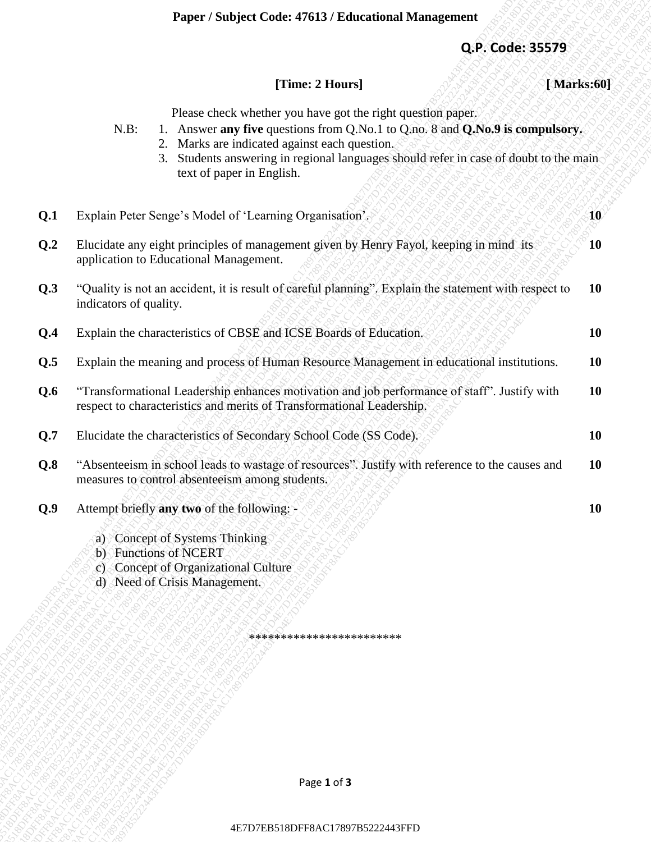## **[Time: 2 Hours] [ Marks:60]**

- N.B: 1. Answer **any five** questions from Q.No.1 to Q.no. 8 and **Q.No.9 is compulsory.**
	- 2. Marks are indicated against each question.
	- 3. Students answering in regional languages should refer in case of doubt to the main text of paper in English.

| Q.P. Code: 35579<br>[Time: 2 Hours]<br>[Marks:60]<br>Please check whether you have got the right question paper.<br>1. Answer any five questions from Q.No.1 to Q.no. 8 and Q.No.9 is compulsory.<br>$N.B$ :<br>2. Marks are indicated against each question.<br>3. Students answering in regional languages should refer in case of doubt to the main<br>text of paper in English.<br>Q.1<br>Explain Peter Senge's Model of 'Learning Organisation'.<br>Q.2<br>Elucidate any eight principles of management given by Henry Fayol, keeping in mind its<br>application to Educational Management.<br>Q.3<br>"Quality is not an accident, it is result of careful planning". Explain the statement with respect to<br>indicators of quality.<br>Explain the characteristics of CBSE and ICSE Boards of Education.<br>Q.4<br>Q.5<br>Explain the meaning and process of Human Resource Management in educational institutions.<br>"Transformational Leadership enhances motivation and job performance of staff". Justify with<br>Q.6<br>respect to characteristics and merits of Transformational Leadership.<br>Q.7<br>Elucidate the characteristics of Secondary School Code (SS Code).<br>Q.8<br>"Absenteeism in school leads to wastage of resources". Justify with reference to the causes and<br>measures to control absenteeism among students.<br>Attempt briefly any two of the following: -<br>Q.9<br>a) Concept of Systems Thinking<br>b) Functions of NCERT<br>c) Concept of Organizational Culture<br>d) Need of Crisis Management.<br>************************<br>Page 1 of 3 | Paper / Subject Code: 47613 / Educational Management |           |
|------------------------------------------------------------------------------------------------------------------------------------------------------------------------------------------------------------------------------------------------------------------------------------------------------------------------------------------------------------------------------------------------------------------------------------------------------------------------------------------------------------------------------------------------------------------------------------------------------------------------------------------------------------------------------------------------------------------------------------------------------------------------------------------------------------------------------------------------------------------------------------------------------------------------------------------------------------------------------------------------------------------------------------------------------------------------------------------------------------------------------------------------------------------------------------------------------------------------------------------------------------------------------------------------------------------------------------------------------------------------------------------------------------------------------------------------------------------------------------------------------------------------------------------------------------------------------------------|------------------------------------------------------|-----------|
|                                                                                                                                                                                                                                                                                                                                                                                                                                                                                                                                                                                                                                                                                                                                                                                                                                                                                                                                                                                                                                                                                                                                                                                                                                                                                                                                                                                                                                                                                                                                                                                          |                                                      |           |
|                                                                                                                                                                                                                                                                                                                                                                                                                                                                                                                                                                                                                                                                                                                                                                                                                                                                                                                                                                                                                                                                                                                                                                                                                                                                                                                                                                                                                                                                                                                                                                                          |                                                      |           |
|                                                                                                                                                                                                                                                                                                                                                                                                                                                                                                                                                                                                                                                                                                                                                                                                                                                                                                                                                                                                                                                                                                                                                                                                                                                                                                                                                                                                                                                                                                                                                                                          |                                                      |           |
|                                                                                                                                                                                                                                                                                                                                                                                                                                                                                                                                                                                                                                                                                                                                                                                                                                                                                                                                                                                                                                                                                                                                                                                                                                                                                                                                                                                                                                                                                                                                                                                          |                                                      | 10        |
|                                                                                                                                                                                                                                                                                                                                                                                                                                                                                                                                                                                                                                                                                                                                                                                                                                                                                                                                                                                                                                                                                                                                                                                                                                                                                                                                                                                                                                                                                                                                                                                          |                                                      | <b>10</b> |
|                                                                                                                                                                                                                                                                                                                                                                                                                                                                                                                                                                                                                                                                                                                                                                                                                                                                                                                                                                                                                                                                                                                                                                                                                                                                                                                                                                                                                                                                                                                                                                                          |                                                      | <b>10</b> |
|                                                                                                                                                                                                                                                                                                                                                                                                                                                                                                                                                                                                                                                                                                                                                                                                                                                                                                                                                                                                                                                                                                                                                                                                                                                                                                                                                                                                                                                                                                                                                                                          |                                                      | <b>10</b> |
|                                                                                                                                                                                                                                                                                                                                                                                                                                                                                                                                                                                                                                                                                                                                                                                                                                                                                                                                                                                                                                                                                                                                                                                                                                                                                                                                                                                                                                                                                                                                                                                          |                                                      | <b>10</b> |
|                                                                                                                                                                                                                                                                                                                                                                                                                                                                                                                                                                                                                                                                                                                                                                                                                                                                                                                                                                                                                                                                                                                                                                                                                                                                                                                                                                                                                                                                                                                                                                                          |                                                      | <b>10</b> |
|                                                                                                                                                                                                                                                                                                                                                                                                                                                                                                                                                                                                                                                                                                                                                                                                                                                                                                                                                                                                                                                                                                                                                                                                                                                                                                                                                                                                                                                                                                                                                                                          |                                                      | <b>10</b> |
|                                                                                                                                                                                                                                                                                                                                                                                                                                                                                                                                                                                                                                                                                                                                                                                                                                                                                                                                                                                                                                                                                                                                                                                                                                                                                                                                                                                                                                                                                                                                                                                          |                                                      | <b>10</b> |
|                                                                                                                                                                                                                                                                                                                                                                                                                                                                                                                                                                                                                                                                                                                                                                                                                                                                                                                                                                                                                                                                                                                                                                                                                                                                                                                                                                                                                                                                                                                                                                                          |                                                      | 10        |
|                                                                                                                                                                                                                                                                                                                                                                                                                                                                                                                                                                                                                                                                                                                                                                                                                                                                                                                                                                                                                                                                                                                                                                                                                                                                                                                                                                                                                                                                                                                                                                                          |                                                      |           |
|                                                                                                                                                                                                                                                                                                                                                                                                                                                                                                                                                                                                                                                                                                                                                                                                                                                                                                                                                                                                                                                                                                                                                                                                                                                                                                                                                                                                                                                                                                                                                                                          |                                                      |           |
|                                                                                                                                                                                                                                                                                                                                                                                                                                                                                                                                                                                                                                                                                                                                                                                                                                                                                                                                                                                                                                                                                                                                                                                                                                                                                                                                                                                                                                                                                                                                                                                          |                                                      |           |
|                                                                                                                                                                                                                                                                                                                                                                                                                                                                                                                                                                                                                                                                                                                                                                                                                                                                                                                                                                                                                                                                                                                                                                                                                                                                                                                                                                                                                                                                                                                                                                                          |                                                      |           |
|                                                                                                                                                                                                                                                                                                                                                                                                                                                                                                                                                                                                                                                                                                                                                                                                                                                                                                                                                                                                                                                                                                                                                                                                                                                                                                                                                                                                                                                                                                                                                                                          |                                                      |           |
|                                                                                                                                                                                                                                                                                                                                                                                                                                                                                                                                                                                                                                                                                                                                                                                                                                                                                                                                                                                                                                                                                                                                                                                                                                                                                                                                                                                                                                                                                                                                                                                          |                                                      |           |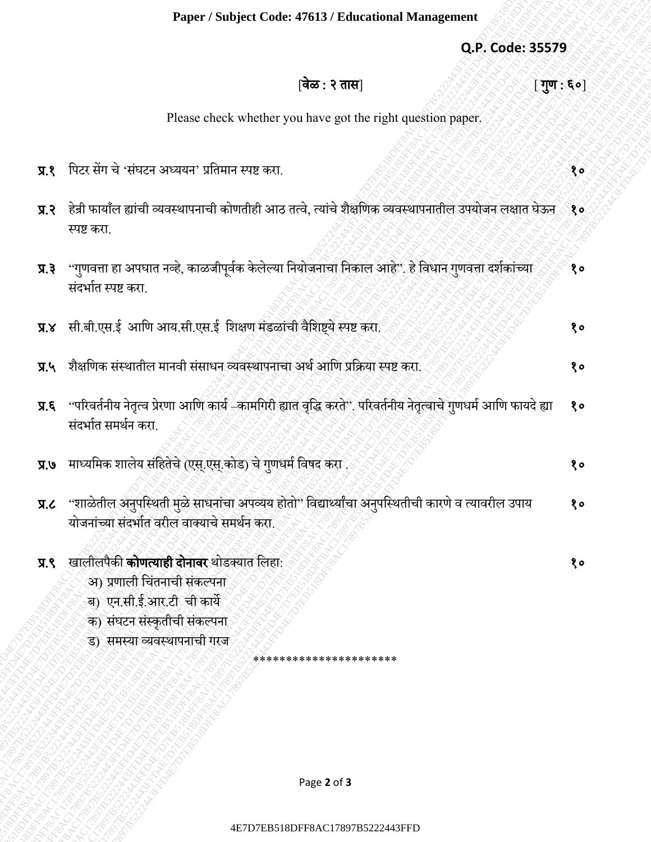## **Paper / Subject Code: 47613 / Educational Management**

|                   | Paper / Subject Code: 47613 / Educational Management                                                                                                                          |             |
|-------------------|-------------------------------------------------------------------------------------------------------------------------------------------------------------------------------|-------------|
|                   | Q.P. Code: 35579                                                                                                                                                              |             |
|                   | वेळ : २ तास]<br>$\lfloor \overline{\mathbf{u}}\mathbf{u}:\mathbf{g}\circ \rfloor$                                                                                             |             |
|                   | Please check whether you have got the right question paper.                                                                                                                   |             |
| $\overline{y}$ .  | पिटर सेंग चे 'संघटन अध्ययन' प्रतिमान स्पष्ट करा.                                                                                                                              | १०          |
|                   | प.२    हेन्री फायाँल ह्यांची व्यवस्थापनाची कोणतीही आठ तत्वे, त्यांचे शैक्षणिक व्यवस्थापनातील उपयोजन लक्षात घेऊन १०<br>स्पष्ट करा.                                             |             |
| 5.7               | ''गुणवत्ता हा अपघात नव्हे, काळजीपूर्वक केलेल्या नियोजनाचा निकाल आहे''. हे विधान गुणवत्ता दर्शकांच्या<br>संदर्भात स्पष्ट करा.                                                  | १०          |
| $X, \overline{X}$ | सी.बी.एस.ई आणि आय.सी.एस.ई शिक्षण मंडळांची वैशिष्ट्ये स्पष्ट करा.                                                                                                              | १०          |
| $\Pi.4$           | शैक्षणिक संस्थातील मानवी संसाधन व्यवस्थापनाचा अर्थ आणि प्रक्रिया स्पष्ट करा.                                                                                                  | १०          |
| $\vec{p}$ . R     | ''परिवर्तनीय नेतृत्व प्रेरणा आणि कार्य –कामगिरी ह्यात वृद्धि करते''. परिवर्तनीय नेतृत्वाचे गुणधर्म आणि फायदे ह्या<br>संदर्भात समर्थन करा.                                     | १०          |
|                   | प्र.७ माध्यमिक शालेय संहितेचे (एस्.एस्.कोड) चे गुणधर्म विषद करा                                                                                                               | १०          |
| J.R               | ''शाळेतील अनुपस्थिती मुळे साधनांचा अपव्यय होतो'' विद्यार्थ्यांचा अनुपस्थितीची कारणे व त्यावरील उपाय<br>योजनांच्या संदर्भात वरील वाक्याचे समर्थन करा.                          | $8^{\circ}$ |
| $\overline{A}$ .  | खालीलपैकी <b>कोणत्याही दोनावर</b> थोडक्यात लिहा:<br>अ) प्रणाली चिंतनाची संकल्पना<br>ब) एन.सी.ई.आर.टी ची कार्ये<br>क) संघटन संस्कृतीची संकल्पना<br>ड) समस्या व्यवस्थापनाची गरज | १०          |
|                   | *********************                                                                                                                                                         |             |
|                   |                                                                                                                                                                               |             |
|                   | Page 2 of 3                                                                                                                                                                   |             |
|                   |                                                                                                                                                                               |             |